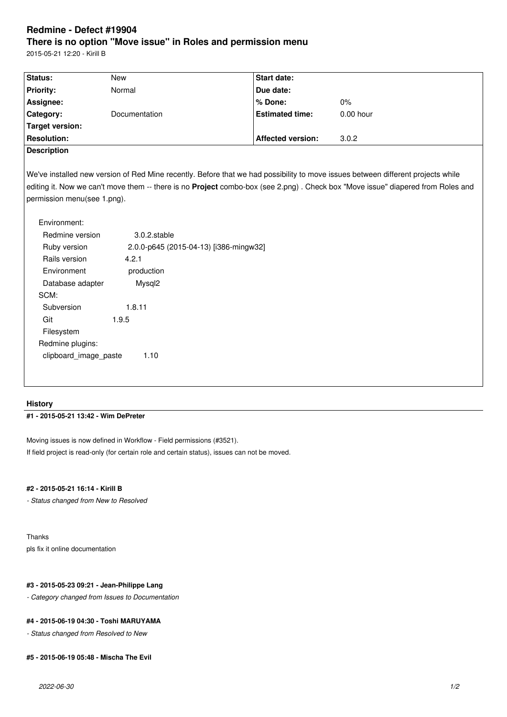# **Redmine - Defect #19904 There is no option "Move issue" in Roles and permission menu**

2015-05-21 12:20 - Kirill B

| Status:            | New                  | <b>Start date:</b>       |             |
|--------------------|----------------------|--------------------------|-------------|
| <b>Priority:</b>   | Normal               | Due date:                |             |
| Assignee:          |                      | ∣% Done:                 | 0%          |
| Category:          | <b>Documentation</b> | <b>Estimated time:</b>   | $0.00$ hour |
| Target version:    |                      |                          |             |
| <b>Resolution:</b> |                      | <b>Affected version:</b> | 3.0.2       |
|                    |                      |                          |             |

#### **Description**

We've installed new version of Red Mine recently. Before that we had possibility to move issues between different projects while editing it. Now we can't move them -- there is no **Project** combo-box (see 2.png) . Check box "Move issue" diapered from Roles and permission menu(see 1.png).

| Environment:          |                                        |
|-----------------------|----------------------------------------|
| Redmine version       | $3.0.2$ .stable                        |
| Ruby version          | 2.0.0-p645 (2015-04-13) [i386-mingw32] |
| Rails version         | 4.2.1                                  |
| Environment           | production                             |
| Database adapter      | Mysgl <sub>2</sub>                     |
| SCM:                  |                                        |
| Subversion            | 1.8.11                                 |
| Git                   | 1.9.5                                  |
| Filesystem            |                                        |
| Redmine plugins:      |                                        |
| clipboard image paste | 1.10                                   |
|                       |                                        |

## **History**

# **#1 - 2015-05-21 13:42 - Wim DePreter**

Moving issues is now defined in Workflow - Field permissions (#3521). If field project is read-only (for certain role and certain status), issues can not be moved.

## **#2 - 2015-05-21 16:14 - Kirill B**

*- Status changed from New to Resolved*

Thanks pls fix it online documentation

#### **#3 - 2015-05-23 09:21 - Jean-Philippe Lang**

*- Category changed from Issues to Documentation*

# **#4 - 2015-06-19 04:30 - Toshi MARUYAMA**

*- Status changed from Resolved to New*

## **#5 - 2015-06-19 05:48 - Mischa The Evil**